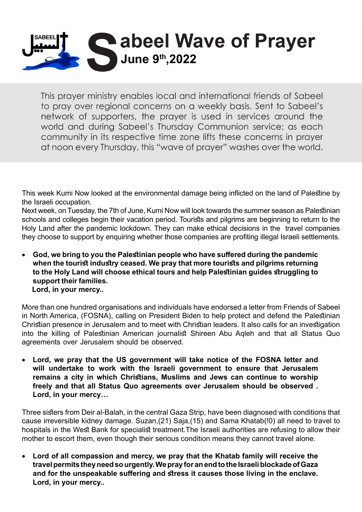

This prayer ministry enables local and international friends of Sabeel to pray over regional concerns on a weekly basis. Sent to Sabeel's network of supporters, the prayer is used in services around the world and during Sabeel's Thursday Communion service; as each community in its respective time zone lifts these concerns in prayer at noon every Thursday, this "wave of prayer" washes over the world.

This week Kumi Now looked at the environmental damage being inflicted on the land of Palestine by the Israeli occupation.

Next week, on Tuesday, the 7th of June, Kumi Now will look towards the summer season as Palestinian schools and colleges begin their vacation period. Tourists and pilgrims are beginning to return to the Holy Land after the pandemic lockdown. They can make ethical decisions in the travel companies they choose to support by enquiring whether those companies are profiting illegal Israeli settlements.

**• God, we bring to you the Palestinian people who have suffered during the pandemic** when the tourist industry ceased. We pray that more tourists and pilgrims returning to the Holy Land will choose ethical tours and help Palestinian quides struggling to support their families. Lord, in your mercy..

More than one hundred organisations and individuals have endorsed a letter from Friends of Sabeel in North America, (FOSNA), calling on President Biden to help protect and defend the Palestinian Christian presence in Jerusalem and to meet with Christian leaders. It also calls for an investigation into the killing of Palestinian American journalist Shireen Abu Aqleh and that all Status Quo agreements over Jerusalem should be observed.

Lord, we pray that the US government will take notice of the FOSNA letter and will undertake to work with the Israeli government to ensure that Jerusalem remains a city in which Christians, Muslims and Jews can continue to worship freely and that all Status Quo agreements over Jerusalem should be observed. Lord, in your mercy...

Three sisters from Deir al-Balah, in the central Gaza Strip, have been diagnosed with conditions that cause irreversible kidney damage. Suzan, (21) Saja, (15) and Sama Khatab (!0) all need to travel to hospitals in the West Bank for specialist treatment. The Israeli authorities are refusing to allow their mother to escort them, even though their serious condition means they cannot travel alone.

**Lord of all compassion and mercy, we pray that the Khatab family will receive the** travel permits they need so urgently. We pray for an end to the Israeli blockade of Gaza and for the unspeakable suffering and stress it causes those living in the enclave. Lord, in your mercy..